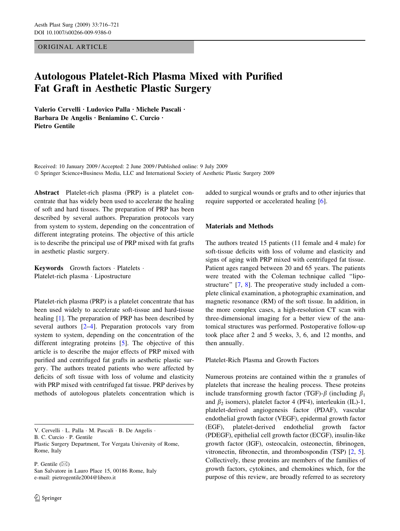ORIGINAL ARTICLE

# Autologous Platelet-Rich Plasma Mixed with Purified Fat Graft in Aesthetic Plastic Surgery

Valerio Cervelli · Ludovico Palla · Michele Pascali · Barbara De Angelis · Beniamino C. Curcio · Pietro Gentile

Received: 10 January 2009 / Accepted: 2 June 2009 / Published online: 9 July 2009 Springer Science+Business Media, LLC and International Society of Aesthetic Plastic Surgery 2009

Abstract Platelet-rich plasma (PRP) is a platelet concentrate that has widely been used to accelerate the healing of soft and hard tissues. The preparation of PRP has been described by several authors. Preparation protocols vary from system to system, depending on the concentration of different integrating proteins. The objective of this article is to describe the principal use of PRP mixed with fat grafts in aesthetic plastic surgery.

Keywords Growth factors · Platelets · Platelet-rich plasma · Lipostructure

Platelet-rich plasma (PRP) is a platelet concentrate that has been used widely to accelerate soft-tissue and hard-tissue healing [[1\]](#page-4-0). The preparation of PRP has been described by several authors [\[2–4](#page-4-0)]. Preparation protocols vary from system to system, depending on the concentration of the different integrating proteins [\[5](#page-4-0)]. The objective of this article is to describe the major effects of PRP mixed with purified and centrifuged fat grafts in aesthetic plastic surgery. The authors treated patients who were affected by deficits of soft tissue with loss of volume and elasticity with PRP mixed with centrifuged fat tissue. PRP derives by methods of autologous platelets concentration which is

V. Cervelli · L. Palla · M. Pascali · B. De Angelis ·

B. C. Curcio · P. Gentile

Plastic Surgery Department, Tor Vergata University of Rome, Rome, Italy

P. Gentile  $(\boxtimes)$ San Salvatore in Lauro Place 15, 00186 Rome, Italy e-mail: pietrogentile2004@libero.it

added to surgical wounds or grafts and to other injuries that require supported or accelerated healing [[6\]](#page-4-0).

## Materials and Methods

The authors treated 15 patients (11 female and 4 male) for soft-tissue deficits with loss of volume and elasticity and signs of aging with PRP mixed with centrifuged fat tissue. Patient ages ranged between 20 and 65 years. The patients were treated with the Coleman technique called ''lipostructure'' [[7,](#page-4-0) [8\]](#page-4-0). The preoperative study included a complete clinical examination, a photographic examination, and magnetic resonance (RM) of the soft tissue. In addition, in the more complex cases, a high-resolution CT scan with three-dimensional imaging for a better view of the anatomical structures was performed. Postoperative follow-up took place after 2 and 5 weeks, 3, 6, and 12 months, and then annually.

Platelet-Rich Plasma and Growth Factors

Numerous proteins are contained within the  $\alpha$  granules of platelets that increase the healing process. These proteins include transforming growth factor (TGF)- $\beta$  (including  $\beta_1$ and  $\beta_2$  isomers), platelet factor 4 (PF4), interleukin (IL)-1, platelet-derived angiogenesis factor (PDAF), vascular endothelial growth factor (VEGF), epidermal growth factor (EGF), platelet-derived endothelial growth factor (PDEGF), epithelial cell growth factor (ECGF), insulin-like growth factor (IGF), osteocalcin, osteonectin, fibrinogen, vitronectin, fibronectin, and thrombospondin (TSP) [\[2](#page-4-0), [5](#page-4-0)]. Collectively, these proteins are members of the families of growth factors, cytokines, and chemokines which, for the purpose of this review, are broadly referred to as secretory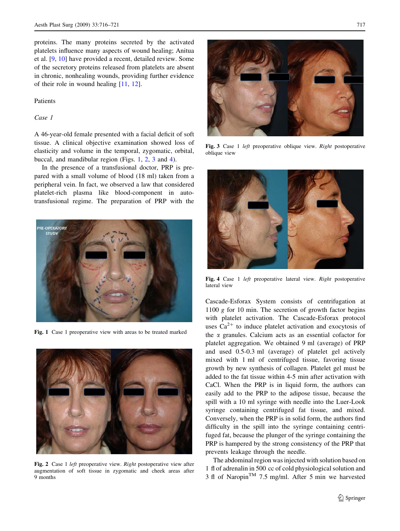<span id="page-1-0"></span>proteins. The many proteins secreted by the activated platelets influence many aspects of wound healing; Anitua et al. [[9,](#page-4-0) [10\]](#page-4-0) have provided a recent, detailed review. Some of the secretory proteins released from platelets are absent in chronic, nonhealing wounds, providing further evidence of their role in wound healing [\[11](#page-4-0), [12\]](#page-5-0).

### Patients

## Case 1

A 46-year-old female presented with a facial deficit of soft tissue. A clinical objective examination showed loss of elasticity and volume in the temporal, zygomatic, orbital, buccal, and mandibular region (Figs. 1, 2, 3 and 4).

In the presence of a transfusional doctor, PRP is prepared with a small volume of blood (18 ml) taken from a peripheral vein. In fact, we observed a law that considered platelet-rich plasma like blood-component in autotransfusional regime. The preparation of PRP with the



Fig. 1 Case 1 preoperative view with areas to be treated marked



Fig. 2 Case 1 left preoperative view. Right postoperative view after augmentation of soft tissue in zygomatic and cheek areas after 9 months



Fig. 3 Case 1 left preoperative oblique view. Right postoperative oblique view



Fig. 4 Case 1 *left* preoperative lateral view. Right postoperative lateral view

Cascade-Esforax System consists of centrifugation at 1100  $g$  for 10 min. The secretion of growth factor begins with platelet activation. The Cascade-Esforax protocol uses  $Ca^{2+}$  to induce platelet activation and exocytosis of the  $\alpha$  granules. Calcium acts as an essential cofactor for platelet aggregation. We obtained 9 ml (average) of PRP and used 0.5-0.3 ml (average) of platelet gel actively mixed with 1 ml of centrifuged tissue, favoring tissue growth by new synthesis of collagen. Platelet gel must be added to the fat tissue within 4-5 min after activation with CaCl. When the PRP is in liquid form, the authors can easily add to the PRP to the adipose tissue, because the spill with a 10 ml syringe with needle into the Luer-Look syringe containing centrifuged fat tissue, and mixed. Conversely, when the PRP is in solid form, the authors find difficulty in the spill into the syringe containing centrifuged fat, because the plunger of the syringe containing the PRP is hampered by the strong consistency of the PRP that prevents leakage through the needle.

The abdominal region was injected with solution based on 1 fl of adrenalin in 500 cc of cold physiological solution and 3 fl of Naropin<sup>TM</sup> 7.5 mg/ml. After 5 min we harvested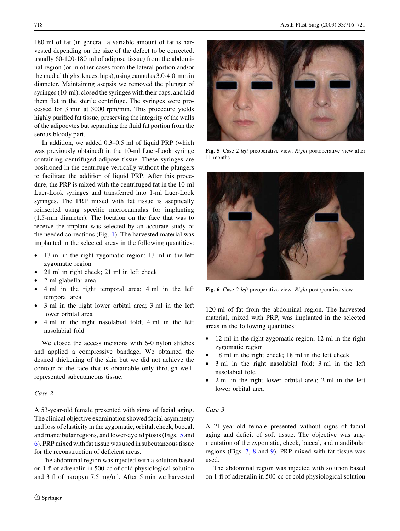180 ml of fat (in general, a variable amount of fat is harvested depending on the size of the defect to be corrected, usually 60-120-180 ml of adipose tissue) from the abdominal region (or in other cases from the lateral portion and/or the medial thighs, knees, hips), using cannulas 3.0-4.0 mm in diameter. Maintaining asepsis we removed the plunger of syringes (10 ml), closed the syringes with their caps, and laid them flat in the sterile centrifuge. The syringes were processed for 3 min at 3000 rpm/min. This procedure yields highly purified fat tissue, preserving the integrity of the walls of the adipocytes but separating the fluid fat portion from the serous bloody part.

In addition, we added 0.3–0.5 ml of liquid PRP (which was previously obtained) in the 10-ml Luer-Look syringe containing centrifuged adipose tissue. These syringes are positioned in the centrifuge vertically without the plungers to facilitate the addition of liquid PRP. After this procedure, the PRP is mixed with the centrifuged fat in the 10-ml Luer-Look syringes and transferred into 1-ml Luer-Look syringes. The PRP mixed with fat tissue is aseptically reinserted using specific microcannulas for implanting (1.5-mm diameter). The location on the face that was to receive the implant was selected by an accurate study of the needed corrections (Fig. [1\)](#page-1-0). The harvested material was implanted in the selected areas in the following quantities:

- 13 ml in the right zygomatic region; 13 ml in the left zygomatic region
- 21 ml in right cheek; 21 ml in left cheek
- 2 ml glabellar area
- 4 ml in the right temporal area; 4 ml in the left temporal area
- 3 ml in the right lower orbital area; 3 ml in the left lower orbital area
- 4 ml in the right nasolabial fold; 4 ml in the left nasolabial fold

We closed the access incisions with 6-0 nylon stitches and applied a compressive bandage. We obtained the desired thickening of the skin but we did not achieve the contour of the face that is obtainable only through wellrepresented subcutaneous tissue.

## Case 2

A 53-year-old female presented with signs of facial aging. The clinical objective examination showed facial asymmetry and loss of elasticity in the zygomatic, orbital, cheek, buccal, and mandibular regions, and lower-eyelid ptosis (Figs. 5 and 6). PRP mixed with fat tissue was used in subcutaneous tissue for the reconstruction of deficient areas.

The abdominal region was injected with a solution based on 1 fl of adrenalin in 500 cc of cold physiological solution and 3 fl of naropyn 7.5 mg/ml. After 5 min we harvested



Fig. 5 Case 2 left preoperative view. Right postoperative view after 11 months



Fig. 6 Case 2 *left* preoperative view. *Right* postoperative view

120 ml of fat from the abdominal region. The harvested material, mixed with PRP, was implanted in the selected areas in the following quantities:

- 12 ml in the right zygomatic region; 12 ml in the right zygomatic region
- 18 ml in the right cheek; 18 ml in the left cheek
- 3 ml in the right nasolabial fold; 3 ml in the left nasolabial fold
- 2 ml in the right lower orbital area; 2 ml in the left lower orbital area

#### Case 3

A 21-year-old female presented without signs of facial aging and deficit of soft tissue. The objective was augmentation of the zygomatic, cheek, buccal, and mandibular regions (Figs. [7](#page-3-0), [8](#page-3-0) and [9\)](#page-3-0). PRP mixed with fat tissue was used.

The abdominal region was injected with solution based on 1 fl of adrenalin in 500 cc of cold physiological solution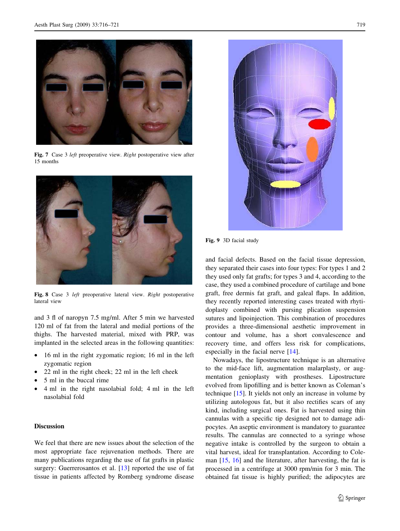<span id="page-3-0"></span>

Fig. 7 Case 3 left preoperative view. Right postoperative view after 15 months



Fig. 8 Case 3 left preoperative lateral view. Right postoperative lateral view

and 3 fl of naropyn 7.5 mg/ml. After 5 min we harvested 120 ml of fat from the lateral and medial portions of the thighs. The harvested material, mixed with PRP, was implanted in the selected areas in the following quantities:

- 16 ml in the right zygomatic region; 16 ml in the left zygomatic region
- 22 ml in the right cheek; 22 ml in the left cheek
- 5 ml in the buccal rime
- 4 ml in the right nasolabial fold; 4 ml in the left nasolabial fold

### Discussion

We feel that there are new issues about the selection of the most appropriate face rejuvenation methods. There are many publications regarding the use of fat grafts in plastic surgery: Guerrerosantos et al. [[13\]](#page-5-0) reported the use of fat tissue in patients affected by Romberg syndrome disease



Fig. 9 3D facial study

and facial defects. Based on the facial tissue depression, they separated their cases into four types: For types 1 and 2 they used only fat grafts; for types 3 and 4, according to the case, they used a combined procedure of cartilage and bone graft, free dermis fat graft, and galeal flaps. In addition, they recently reported interesting cases treated with rhytidoplasty combined with pursing plication suspension sutures and lipoinjection. This combination of procedures provides a three-dimensional aesthetic improvement in contour and volume, has a short convalescence and recovery time, and offers less risk for complications, especially in the facial nerve [[14\]](#page-5-0).

Nowadays, the lipostructure technique is an alternative to the mid-face lift, augmentation malarplasty, or augmentation genioplasty with prostheses. Lipostructure evolved from lipofilling and is better known as Coleman's technique [\[15](#page-5-0)]. It yields not only an increase in volume by utilizing autologous fat, but it also rectifies scars of any kind, including surgical ones. Fat is harvested using thin cannulas with a specific tip designed not to damage adipocytes. An aseptic environment is mandatory to guarantee results. The cannulas are connected to a syringe whose negative intake is controlled by the surgeon to obtain a vital harvest, ideal for transplantation. According to Coleman [\[15](#page-5-0), [16](#page-5-0)] and the literature, after harvesting, the fat is processed in a centrifuge at 3000 rpm/min for 3 min. The obtained fat tissue is highly purified; the adipocytes are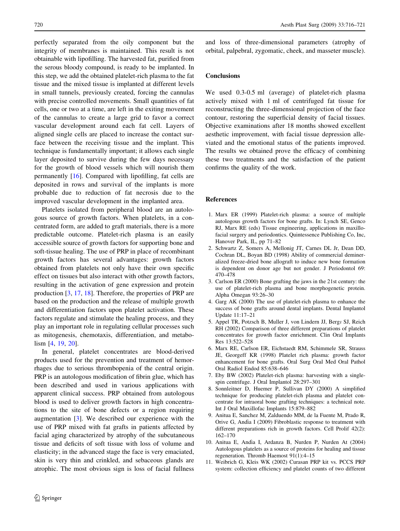<span id="page-4-0"></span>perfectly separated from the oily component but the integrity of membranes is maintained. This result is not obtainable with lipofilling. The harvested fat, purified from the serous bloody compound, is ready to be implanted. In this step, we add the obtained platelet-rich plasma to the fat tissue and the mixed tissue is implanted at different levels in small tunnels, previously created, forcing the cannulas with precise controlled movements. Small quantities of fat cells, one or two at a time, are left in the exiting movement of the cannulas to create a large grid to favor a correct vascular development around each fat cell. Layers of aligned single cells are placed to increase the contact surface between the receiving tissue and the implant. This technique is fundamentally important; it allows each single layer deposited to survive during the few days necessary for the growth of blood vessels which will nourish them permanently [\[16](#page-5-0)]. Compared with lipofilling, fat cells are deposited in rows and survival of the implants is more probable due to reduction of fat necrosis due to the improved vascular development in the implanted area.

Platelets isolated from peripheral blood are an autologous source of growth factors. When platelets, in a concentrated form, are added to graft materials, there is a more predictable outcome. Platelet-rich plasma is an easily accessible source of growth factors for supporting bone and soft-tissue healing. The use of PRP in place of recombinant growth factors has several advantages: growth factors obtained from platelets not only have their own specific effect on tissues but also interact with other growth factors, resulting in the activation of gene expression and protein production [3, [17](#page-5-0), [18](#page-5-0)]. Therefore, the properties of PRP are based on the production and the release of multiple growth and differentiation factors upon platelet activation. These factors regulate and stimulate the healing process, and they play an important role in regulating cellular processes such as mitogenesis, chemotaxis, differentiation, and metabolism [4, [19,](#page-5-0) [20\]](#page-5-0).

In general, platelet concentrates are blood-derived products used for the prevention and treatment of hemorrhages due to serious thrombopenia of the central origin. PRP is an autologous modification of fibrin glue, which has been described and used in various applications with apparent clinical success. PRP obtained from autologous blood is used to deliver growth factors in high concentrations to the site of bone defects or a region requiring augmentation [3]. We described our experience with the use of PRP mixed with fat grafts in patients affected by facial aging characterized by atrophy of the subcutaneous tissue and deficits of soft tissue with loss of volume and elasticity; in the advanced stage the face is very emaciated, skin is very thin and crinkled, and sebaceous glands are atrophic. The most obvious sign is loss of facial fullness

and loss of three-dimensional parameters (atrophy of orbital, palpebral, zygomatic, cheek, and masseter muscle).

## **Conclusions**

We used 0.3-0.5 ml (average) of platelet-rich plasma actively mixed with 1 ml of centrifuged fat tissue for reconstructing the three-dimensional projection of the face contour, restoring the superficial density of facial tissues. Objective examinations after 18 months showed excellent aesthetic improvement, with facial tissue depression alleviated and the emotional status of the patients improved. The results we obtained prove the efficacy of combining these two treatments and the satisfaction of the patient confirms the quality of the work.

#### References

- 1. Marx ER (1999) Platelet-rich plasma: a source of multiple autologous growth factors for bone grafts. In: Lynch SE, Genco RJ, Marx RE (eds) Tissue engineering, applications in maxillofacial surgery and periodontics. Quintessence Publishing Co, Inc, Hanover Park, IL, pp 71–82
- 2. Schwartz Z, Somers A, Mellonig JT, Carnes DL Jr, Dean DD, Cochran DL, Boyan BD (1998) Ability of commercial demineralized freeze-dried bone allograft to induce new bone formation is dependent on donor age but not gender. J Periodontol 69: 470–478
- 3. Carlson ER (2000) Bone grafting the jaws in the 21st century: the use of platelet-rich plasma and bone morphogenetic protein. Alpha Omegan 93:26–30
- 4. Garg AK (2000) The use of platelet-rich plasma to enhance the success of bone grafts around dental implants. Dental Implantol Update 11:17–21
- 5. Appel TR, Potzsch B, Muller J, von Lindern JJ, Bergi SJ, Reich RH (2002) Comparison of three different preparations of platelet concentrates for growth factor enrichment. Clin Oral Implants Res 13:522–528
- 6. Marx RE, Carlson ER, Eichstaedt RM, Schimmele SR, Strauss JE, Georgeff KR (1998) Platelet rich plasma: growth factor enhancement for bone grafts. Oral Surg Oral Med Oral Pathol Oral Radiol Endod 85:638–646
- 7. Eby BW (2002) Platelet-rich plasma: harvesting with a singlespin centrifuge. J Oral Implantol 28:297–301
- 8. Sonnleitner D, Huemer P, Sullivan DY (2000) A simplified technique for producing platelet-rich plasma and platelet concentrate for intraoral bone grafting techniques: a technical note. Int J Oral Maxillofac Implants 15:879–882
- 9. Anitua E, Sanchez M, Zalduendo MM, de la Fuente M, Prado R, Orive G, Andia I (2009) Fibroblastic response to treatment with different preparations rich in growth factors. Cell Prolif 42(2): 162–170
- 10. Anitua E, Andı`a I, Ardanza B, Nurden P, Nurden At (2004) Autologous platelets as a source of proteins for healing and tissue regeneration. Thromb Haemost 91(1):4–15
- 11. Weibrich G, Kleis WK (2002) Curasan PRP kit vs. PCCS PRP system: collection efficiency and platelet counts of two different